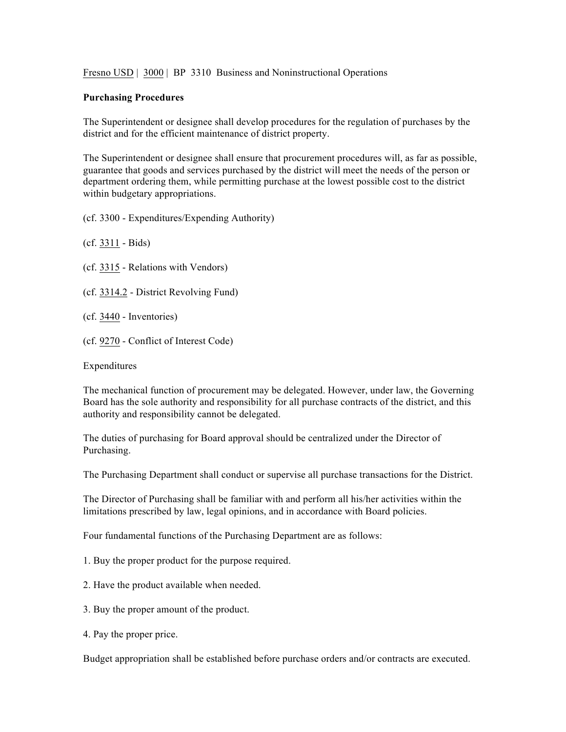Fresno USD | 3000 | BP 3310 Business and Noninstructional Operations

## **Purchasing Procedures**

The Superintendent or designee shall develop procedures for the regulation of purchases by the district and for the efficient maintenance of district property.

The Superintendent or designee shall ensure that procurement procedures will, as far as possible, guarantee that goods and services purchased by the district will meet the needs of the person or department ordering them, while permitting purchase at the lowest possible cost to the district within budgetary appropriations.

(cf. 3300 - Expenditures/Expending Authority)

- (cf. 3311 Bids)
- (cf. 3315 Relations with Vendors)

(cf. 3314.2 - District Revolving Fund)

- (cf. 3440 Inventories)
- (cf. 9270 Conflict of Interest Code)

Expenditures

The mechanical function of procurement may be delegated. However, under law, the Governing Board has the sole authority and responsibility for all purchase contracts of the district, and this authority and responsibility cannot be delegated.

The duties of purchasing for Board approval should be centralized under the Director of Purchasing.

The Purchasing Department shall conduct or supervise all purchase transactions for the District.

The Director of Purchasing shall be familiar with and perform all his/her activities within the limitations prescribed by law, legal opinions, and in accordance with Board policies.

Four fundamental functions of the Purchasing Department are as follows:

1. Buy the proper product for the purpose required.

- 2. Have the product available when needed.
- 3. Buy the proper amount of the product.
- 4. Pay the proper price.

Budget appropriation shall be established before purchase orders and/or contracts are executed.